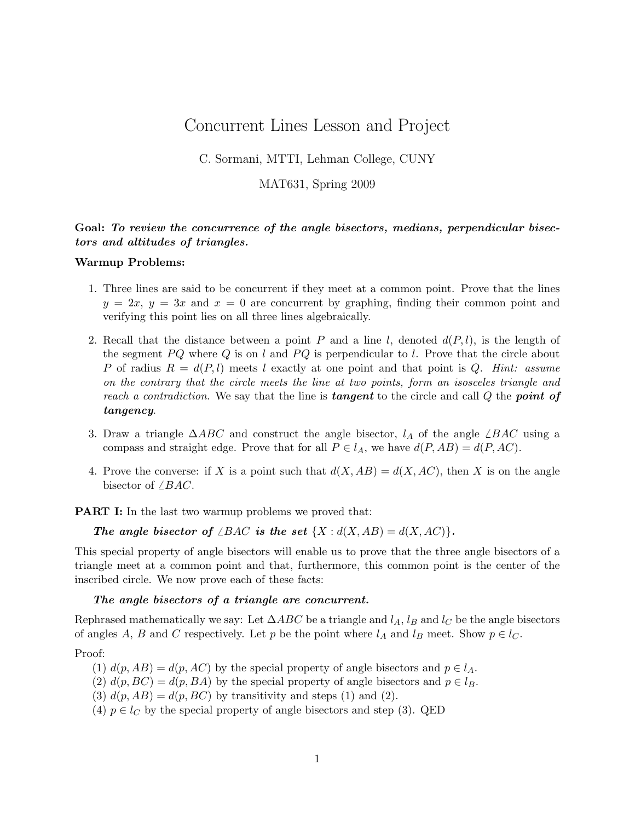# Concurrent Lines Lesson and Project

## C. Sormani, MTTI, Lehman College, CUNY

## MAT631, Spring 2009

# Goal: To review the concurrence of the angle bisectors, medians, perpendicular bisectors and altitudes of triangles.

## Warmup Problems:

- 1. Three lines are said to be concurrent if they meet at a common point. Prove that the lines  $y = 2x, y = 3x$  and  $x = 0$  are concurrent by graphing, finding their common point and verifying this point lies on all three lines algebraically.
- 2. Recall that the distance between a point P and a line l, denoted  $d(P, l)$ , is the length of the segment  $PQ$  where  $Q$  is on l and  $PQ$  is perpendicular to l. Prove that the circle about P of radius  $R = d(P, l)$  meets l exactly at one point and that point is Q. Hint: assume on the contrary that the circle meets the line at two points, form an isosceles triangle and reach a contradiction. We say that the line is **tangent** to the circle and call  $Q$  the **point of** tangency.
- 3. Draw a triangle  $\triangle ABC$  and construct the angle bisector,  $l_A$  of the angle  $\angle BAC$  using a compass and straight edge. Prove that for all  $P \in l_A$ , we have  $d(P, AB) = d(P, AC)$ .
- 4. Prove the converse: if X is a point such that  $d(X, AB) = d(X, AC)$ , then X is on the angle bisector of  $\angle BAC$ .

**PART I:** In the last two warmup problems we proved that:

The angle bisector of  $\angle BAC$  is the set  $\{X : d(X, AB) = d(X, AC)\}.$ 

This special property of angle bisectors will enable us to prove that the three angle bisectors of a triangle meet at a common point and that, furthermore, this common point is the center of the inscribed circle. We now prove each of these facts:

#### The angle bisectors of a triangle are concurrent.

Rephrased mathematically we say: Let  $\Delta ABC$  be a triangle and  $l_A$ ,  $l_B$  and  $l_C$  be the angle bisectors of angles A, B and C respectively. Let p be the point where  $l_A$  and  $l_B$  meet. Show  $p \in l_C$ .

## Proof:

- (1)  $d(p, AB) = d(p, AC)$  by the special property of angle bisectors and  $p \in l_A$ .
- (2)  $d(p, BC) = d(p, BA)$  by the special property of angle bisectors and  $p \in l_B$ .
- (3)  $d(p, AB) = d(p, BC)$  by transitivity and steps (1) and (2).
- (4)  $p \in l_C$  by the special property of angle bisectors and step (3). QED